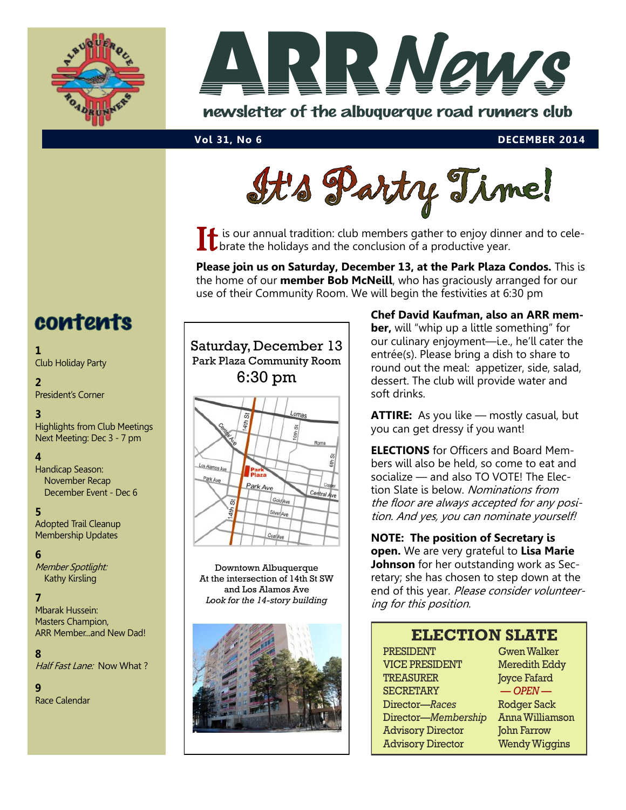



newsletter of the albuquerque road runners club



It is our annual tradition: club members gather to enjoy dinner and to cele-<br>
U brate the holidays and the conclusion of a productive year. brate the holidays and the conclusion of a productive year.

**Please join us on Saturday, December 13, at the Park Plaza Condos.** This is the home of our **member Bob McNeill**, who has graciously arranged for our use of their Community Room. We will begin the festivities at 6:30 pm

## contents

#### **1**

Club Holiday Party

### **2**

President's Corner

#### **3**

Highlights from Club Meetings Next Meeting: Dec 3 - 7 pm

### **4**

Handicap Season: November Recap December Event - Dec 6

#### **5**

Adopted Trail Cleanup Membership Updates

#### **6**

Member Spotlight: Kathy Kirsling

#### **7**

Mbarak Hussein: Masters Champion, ARR Member...and New Dad!

#### **8**

Half Fast Lane: Now What?

#### **9**

Race Calendar



Downtown Albuquerque At the intersection of 14th St SW and Los Alamos Ave *Look for the 14-story building*



**Chef David Kaufman, also an ARR member,** will "whip up a little something" for our culinary enjoyment—i.e., he'll cater the entrée(s). Please bring a dish to share to round out the meal: appetizer, side, salad, dessert. The club will provide water and soft drinks.

**ATTIRE:** As you like — mostly casual, but you can get dressy if you want!

**ELECTIONS** for Officers and Board Members will also be held, so come to eat and socialize — and also TO VOTE! The Election Slate is below. Nominations from the floor are always accepted for any position. And yes, you can nominate yourself!

**NOTE: The position of Secretary is open.** We are very grateful to **Lisa Marie Johnson** for her outstanding work as Secretary; she has chosen to step down at the end of this year. Please consider volunteering for this position.

### **ELECTION SLATE**

PRESIDENT Gwen Walker VICE PRESIDENT Meredith Eddy TREASURER **Joyce Fafard** SECRETARY — *OPEN* — Director—*Races* Rodger Sack Director—*Membership* Anna Williamson Advisory Director John Farrow Advisory Director Wendy Wiggins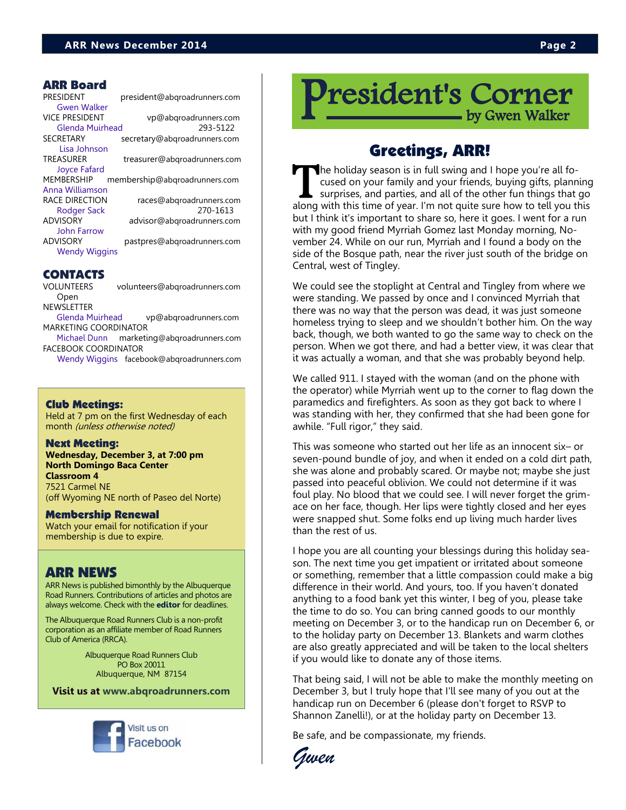PRESIDENT president@abqroadrunners.com [Gwen Walker](mailto:president@abqroadrunners.com)  VICE PRESIDENT vp@abqroadrunners.com [Glenda Muirhead](mailto:vp@abqroadrunners.com) 293-5122 SECRETARY secretary@abqroadrunners.com Lisa Johnson TREASURER treasurer@abqroadrunners.com [Joyce Fafard](mailto:treasurer@abqroadrunners.com) MEMBERSHIP membership@abqroadrunners.com [Anna Williamson](mailto:membership@abqroadrunners.com) RACE DIRECTION races@abgroadrunners.com Rodger Sack 270-1613 ADVISORY advisor@abqroadrunners.com John Farrow ADVISORY pastpres@abqroadrunners.com Wendy Wiggins

### CONTACTS

VOLUNTEERS volunteers@abqroadrunners.com Open

NEWSLETTER [Glenda Muirhead](mailto:vp@abqroadrunners.com) vp@abqroadrunners.com MARKETING COORDINATOR

[Michael Dunn](mailto:marketing@abqroadrunners.com) marketing@abqroadrunners.com FACEBOOK COORDINATOR

[Wendy Wiggins](mailto:facebook@abqroadrunners.com) facebook@abqroadrunners.com

#### Club Meetings:

Held at 7 pm on the first Wednesday of each month (unless otherwise noted)

#### Next Meeting:

**Wednesday, December 3, at 7:00 pm North Domingo Baca Center Classroom 4** 7521 Carmel NE (off Wyoming NE north of Paseo del Norte)

Membership Renewal

Watch your email for notification if your membership is due to expire.

### ARR NEWS

ARR News is published bimonthly by the Albuquerque Road Runners. Contributions of articles and photos are always welcome. Check with the **[editor](mailto:vp@abqroadrunners.com?subject=ARR%20Newsletter)** for deadlines.

The Albuquerque Road Runners Club is a non-profit corporation as an affiliate member of Road Runners Club of America (RRCA).

> Albuquerque Road Runners Club PO Box 20011 Albuquerque, NM 87154

**Visit us at [www.abqroadrunners.com](http://www.abqroadrunners.com)**



resident's Corner by Gwen Walker

### Greetings, ARR!

The holiday season is in full swing and I hope you're all fo-<br>cused on your family and your friends, buying gifts, planning<br>surprises, and parties, and all of the other fun things that go<br>along with this time of year. I'm he holiday season is in full swing and I hope you're all focused on your family and your friends, buying gifts, planning surprises, and parties, and all of the other fun things that go but I think it's important to share so, here it goes. I went for a run with my good friend Myrriah Gomez last Monday morning, November 24. While on our run, Myrriah and I found a body on the side of the Bosque path, near the river just south of the bridge on Central, west of Tingley.

We could see the stoplight at Central and Tingley from where we were standing. We passed by once and I convinced Myrriah that there was no way that the person was dead, it was just someone homeless trying to sleep and we shouldn't bother him. On the way back, though, we both wanted to go the same way to check on the person. When we got there, and had a better view, it was clear that it was actually a woman, and that she was probably beyond help.

We called 911. I stayed with the woman (and on the phone with the operator) while Myrriah went up to the corner to flag down the paramedics and firefighters. As soon as they got back to where I was standing with her, they confirmed that she had been gone for awhile. "Full rigor," they said.

This was someone who started out her life as an innocent six– or seven-pound bundle of joy, and when it ended on a cold dirt path, she was alone and probably scared. Or maybe not; maybe she just passed into peaceful oblivion. We could not determine if it was foul play. No blood that we could see. I will never forget the grimace on her face, though. Her lips were tightly closed and her eyes were snapped shut. Some folks end up living much harder lives than the rest of us.

I hope you are all counting your blessings during this holiday season. The next time you get impatient or irritated about someone or something, remember that a little compassion could make a big difference in their world. And yours, too. If you haven't donated anything to a food bank yet this winter, I beg of you, please take the time to do so. You can bring canned goods to our monthly meeting on December 3, or to the handicap run on December 6, or to the holiday party on December 13. Blankets and warm clothes are also greatly appreciated and will be taken to the local shelters if you would like to donate any of those items.

That being said, I will not be able to make the monthly meeting on December 3, but I truly hope that I'll see many of you out at the handicap run on December 6 (please don't forget to RSVP to Shannon Zanelli!), or at the holiday party on December 13.

Be safe, and be compassionate, my friends.

*Gwen*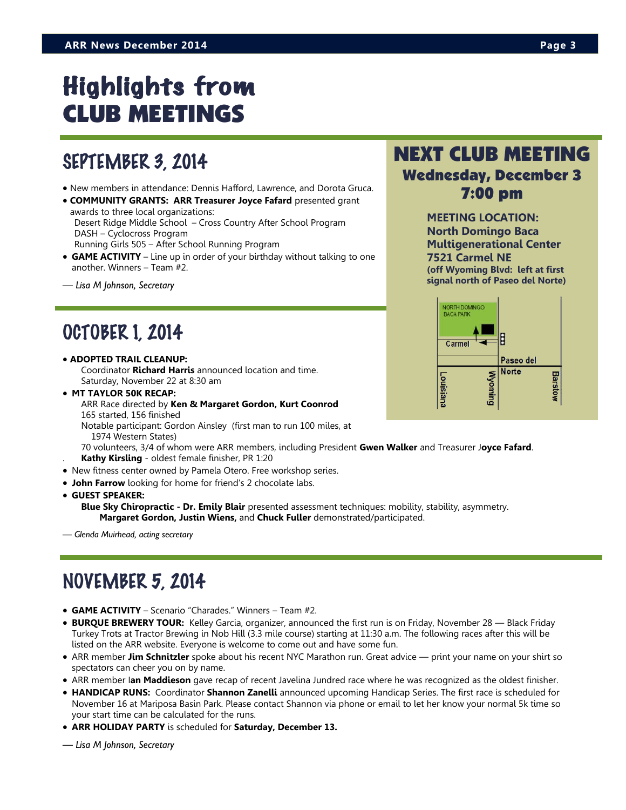# Highlights from CLUB MEETINGS

### SEPTEMBER 3, 2014

- New members in attendance: Dennis Hafford, Lawrence, and Dorota Gruca.
- **COMMUNITY GRANTS: ARR Treasurer Joyce Fafard** presented grant awards to three local organizations: Desert Ridge Middle School – Cross Country After School Program DASH – Cyclocross Program Running Girls 505 – After School Running Program
- **GAME ACTIVITY**  Line up in order of your birthday without talking to one another. Winners – Team #2.
- *— Lisa M Johnson, Secretary*

### OCTOBER 1, 2014

- **ADOPTED TRAIL CLEANUP:**  Coordinator **Richard Harris** announced location and time. Saturday, November 22 at 8:30 am
- **MT TAYLOR 50K RECAP:**
	- ARR Race directed by **Ken & Margaret Gordon, Kurt Coonrod** 165 started, 156 finished
	- Notable participant: Gordon Ainsley (first man to run 100 miles, at 1974 Western States)
	- 70 volunteers, 3/4 of whom were ARR members, including President **Gwen Walker** and Treasurer J**oyce Fafard**. . **Kathy Kirsling** - oldest female finisher, PR 1:20
- New fitness center owned by Pamela Otero. Free workshop series.
- **John Farrow** looking for home for friend's 2 chocolate labs.

**GUEST SPEAKER:** 

**Blue Sky Chiropractic - Dr. Emily Blair** presented assessment techniques: mobility, stability, asymmetry. **Margaret Gordon, Justin Wiens,** and **Chuck Fuller** demonstrated/participated.

*— Glenda Muirhead, acting secretary*

### NOVEMBER 5, 2014

- **GAME ACTIVITY**  Scenario "Charades." Winners Team #2.
- **BURQUE BREWERY TOUR:** Kelley Garcia, organizer, announced the first run is on Friday, November 28 Black Friday Turkey Trots at Tractor Brewing in Nob Hill (3.3 mile course) starting at 11:30 a.m. The following races after this will be listed on the ARR website. Everyone is welcome to come out and have some fun.
- ARR member **Jim Schnitzler** spoke about his recent NYC Marathon run. Great advice print your name on your shirt so spectators can cheer you on by name.
- ARR member I**an Maddieson** gave recap of recent Javelina Jundred race where he was recognized as the oldest finisher.
- **HANDICAP RUNS:** Coordinator **Shannon Zanelli** announced upcoming Handicap Series. The first race is scheduled for November 16 at Mariposa Basin Park. Please contact Shannon via phone or email to let her know your normal 5k time so your start time can be calculated for the runs.
- **ARR HOLIDAY PARTY** is scheduled for **Saturday, December 13.**

*— Lisa M Johnson, Secretary*

### NEXT CLUB MEETING Wednesday, December 3 7:00 pm

**MEETING LOCATION: North Domingo Baca Multigenerational Center 7521 Carmel NE (off Wyoming Blvd: left at first signal north of Paseo del Norte)** 

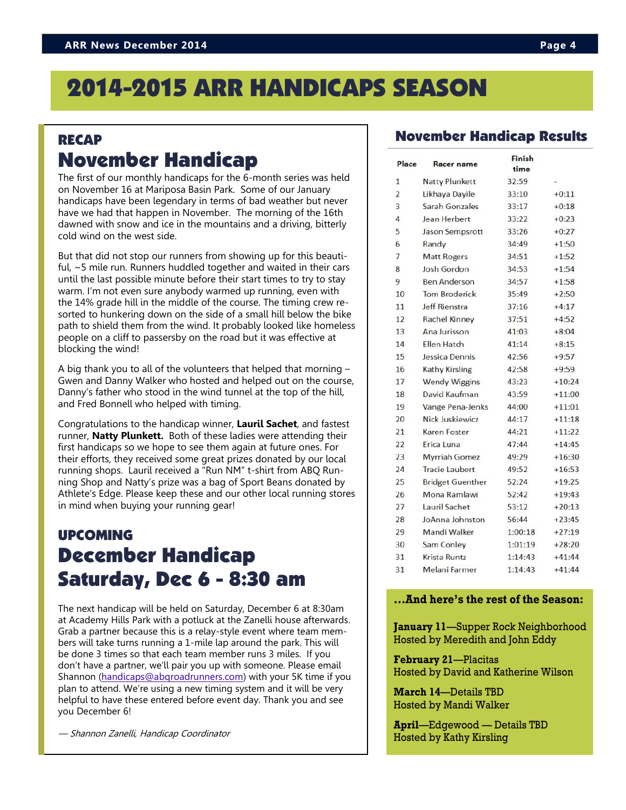## 2014-2015 ARR HANDICAPS SEASON

### RECAP November Handicap

The first of our monthly handicaps for the 6-month series was held on November 16 at Mariposa Basin Park. Some of our January handicaps have been legendary in terms of bad weather but never have we had that happen in November. The morning of the 16th dawned with snow and ice in the mountains and a driving, bitterly cold wind on the west side.

But that did not stop our runners from showing up for this beautiful, ~5 mile run. Runners huddled together and waited in their cars until the last possible minute before their start times to try to stay warm. I'm not even sure anybody warmed up running, even with the 14% grade hill in the middle of the course. The timing crew resorted to hunkering down on the side of a small hill below the bike path to shield them from the wind. It probably looked like homeless people on a cliff to passersby on the road but it was effective at blocking the wind!

A big thank you to all of the volunteers that helped that morning – Gwen and Danny Walker who hosted and helped out on the course, Danny's father who stood in the wind tunnel at the top of the hill, and Fred Bonnell who helped with timing.

Congratulations to the handicap winner, **Lauril Sachet**, and fastest runner, **Natty Plunkett.** Both of these ladies were attending their first handicaps so we hope to see them again at future ones. For their efforts, they received some great prizes donated by our local running shops. Lauril received a "Run NM" t-shirt from ABQ Running Shop and Natty's prize was a bag of Sport Beans donated by Athlete's Edge. Please keep these and our other local running stores in mind when buying your running gear!

### UPCOMING December Handicap Saturday, Dec 6 - 8:30 am

The next handicap will be held on Saturday, December 6 at 8:30am at Academy Hills Park with a potluck at the Zanelli house afterwards. Grab a partner because this is a relay-style event where team members will take turns running a 1-mile lap around the park. This will be done 3 times so that each team member runs 3 miles. If you don't have a partner, we'll pair you up with someone. Please email Shannon [\(handicaps@abqroadrunners.com\)](mailto:handicaps@abqroadrunners.com) with your 5K time if you plan to attend. We're using a new timing system and it will be very helpful to have these entered before event day. Thank you and see you December 6!

— Shannon Zanelli, Handicap Coordinator

### November Handicap Results

| Place          | <b>Racer name</b>       | Finish<br>time |          |
|----------------|-------------------------|----------------|----------|
| 1              | <b>Natty Plunkett</b>   | 32:59          |          |
| $\overline{2}$ | Likhava Davile          | 33:10          | $+0:11$  |
| 3              | Sarah Gonzales          | 33:17          | $+0:18$  |
| $\overline{4}$ | Jean Herbert            | 33:22          | $+0:23$  |
| 5              | Jason Sempsrott         | 33:26          | $+0:27$  |
| 6              | Randy                   | 34:49          | $+1:50$  |
| 7              | <b>Matt Rogers</b>      | 34:51          | $+1:52$  |
| 8              | <b>Josh Gordon</b>      | 34:53          | $+1:54$  |
| 9              | <b>Ben Anderson</b>     | 34:57          | $+1:58$  |
| 10             | <b>Tom Broderick</b>    | 35:49          | $+2:50$  |
| 11             | <b>Jeff Rienstra</b>    | 37:16          | $+4:17$  |
| 12             | <b>Rachel Kinney</b>    | 37:51          | $+4:52$  |
| 13             | Ana Jurisson            | 41:03          | $+8:04$  |
| 14             | Ellen Hatch             | 41:14          | $+8:15$  |
| 15             | Jessica Dennis          | 42:56          | $+9:57$  |
| 16             | <b>Kathy Kirsling</b>   | 42:58          | $+9:59$  |
| 17             | <b>Wendy Wiggins</b>    | 43:23          | $+10:24$ |
| 18             | David Kaufman           | 43:59          | $+11:00$ |
| 19             | Vange Pena-Jenks        | 44:00          | $+11:01$ |
| 20             | Nick Juskiewicz         | 44:17          | $+11:18$ |
| 21             | <b>Karen Foster</b>     | 44:21          | $+11:22$ |
| 22             | Erica Luna              | 47:44          | $+14:45$ |
| 23             | <b>Myrriah Gomez</b>    | 49:29          | $+16:30$ |
| 24             | <b>Tracie Laubert</b>   | 49:52          | $+16:53$ |
| 25             | <b>Bridget Guenther</b> | 52:24          | $+19:25$ |
| 26             | Mona Ramlawi            | 52:42          | $+19:43$ |
| 27             | Lauril Sachet           | 53:12          | $+20:13$ |
| 28             | JoAnna Johnston         | 56:44          | $+23:45$ |
| 29             | Mandi Walker            | 1:00:18        | $+27:19$ |
| 30             | Sam Conley              | 1:01:19        | $+28:20$ |
| 31             | Krista Runtz            | 1:14:43        | $+41:44$ |
| 31             | Melani Farmer           | 1:14:43        | $+41:44$ |

#### **...And here's the rest of the Season:**

**January 11**—Supper Rock Neighborhood Hosted by Meredith and John Eddy

**February 21**—Placitas Hosted by David and Katherine Wilson

**March 14**—Details TBD Hosted by Mandi Walker

**April**—Edgewood — Details TBD Hosted by Kathy Kirsling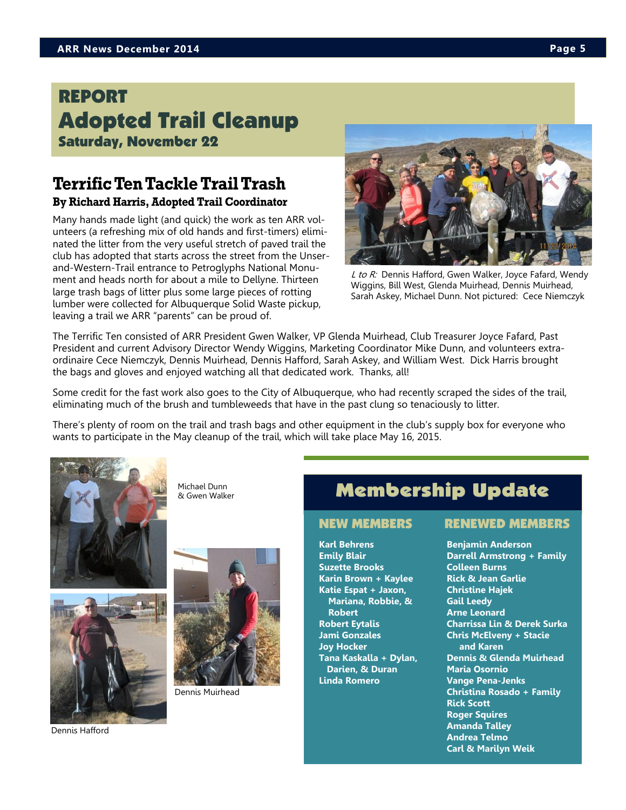### REPORT Adopted Trail Cleanup Saturday, November 22

### **Terrific Ten Tackle Trail Trash By Richard Harris, Adopted Trail Coordinator**

Many hands made light (and quick) the work as ten ARR volunteers (a refreshing mix of old hands and first-timers) eliminated the litter from the very useful stretch of paved trail the club has adopted that starts across the street from the Unserand-Western-Trail entrance to Petroglyphs National Monument and heads north for about a mile to Dellyne. Thirteen large trash bags of litter plus some large pieces of rotting lumber were collected for Albuquerque Solid Waste pickup, leaving a trail we ARR "parents" can be proud of.



L to R: Dennis Hafford, Gwen Walker, Joyce Fafard, Wendy Wiggins, Bill West, Glenda Muirhead, Dennis Muirhead, Sarah Askey, Michael Dunn. Not pictured: Cece Niemczyk

The Terrific Ten consisted of ARR President Gwen Walker, VP Glenda Muirhead, Club Treasurer Joyce Fafard, Past President and current Advisory Director Wendy Wiggins, Marketing Coordinator Mike Dunn, and volunteers extraordinaire Cece Niemczyk, Dennis Muirhead, Dennis Hafford, Sarah Askey, and William West. Dick Harris brought the bags and gloves and enjoyed watching all that dedicated work. Thanks, all!

Some credit for the fast work also goes to the City of Albuquerque, who had recently scraped the sides of the trail, eliminating much of the brush and tumbleweeds that have in the past clung so tenaciously to litter.

There's plenty of room on the trail and trash bags and other equipment in the club's supply box for everyone who wants to participate in the May cleanup of the trail, which will take place May 16, 2015.



Michael Dunn & Gwen Walker



Dennis Hafford



Dennis Muirhead

### Membership Update

**Karl Behrens Emily Blair Suzette Brooks Karin Brown + Kaylee Katie Espat + Jaxon, Mariana, Robbie, & Robert Robert Eytalis Jami Gonzales Joy Hocker Tana Kaskalla + Dylan, Darien, & Duran Linda Romero**

#### NEW MEMBERS RENEWED MEMBERS

**Benjamin Anderson Darrell Armstrong + Family Colleen Burns Rick & Jean Garlie Christine Hajek Gail Leedy Arne Leonard Charrissa Lin & Derek Surka Chris McElveny + Stacie and Karen Dennis & Glenda Muirhead Maria Osornio Vange Pena-Jenks Christina Rosado + Family Rick Scott Roger Squires Amanda Talley Andrea Telmo Carl & Marilyn Weik**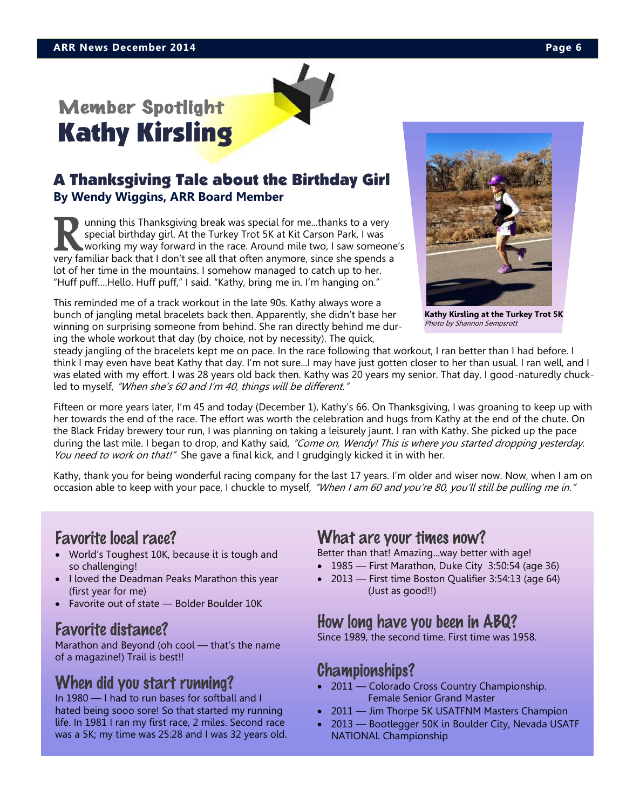# Member Spotlight Kathy Kirsling

### A Thanksgiving Tale about the Birthday Girl **By Wendy Wiggins, ARR Board Member**

I aming this Thanksgiving break was special for me...thanks to a very special birthday girl. At the Turkey Trot 5K at Kit Carson Park, I was working my way forward in the race. Around mile two, I saw someone very familiar unning this Thanksgiving break was special for me...thanks to a very special birthday girl. At the Turkey Trot 5K at Kit Carson Park, I was working my way forward in the race. Around mile two, I saw someone's lot of her time in the mountains. I somehow managed to catch up to her. "Huff puff….Hello. Huff puff," I said. "Kathy, bring me in. I'm hanging on."

This reminded me of a track workout in the late 90s. Kathy always wore a bunch of jangling metal bracelets back then. Apparently, she didn't base her winning on surprising someone from behind. She ran directly behind me during the whole workout that day (by choice, not by necessity). The quick,



**Kathy Kirsling at the Turkey Trot 5K** Photo by Shannon Sempsrott

steady jangling of the bracelets kept me on pace. In the race following that workout, I ran better than I had before. I think I may even have beat Kathy that day. I'm not sure...I may have just gotten closer to her than usual. I ran well, and I was elated with my effort. I was 28 years old back then. Kathy was 20 years my senior. That day, I good-naturedly chuckled to myself, "When she's 60 and I'm 40, things will be different."

Fifteen or more years later, I'm 45 and today (December 1), Kathy's 66. On Thanksgiving, I was groaning to keep up with her towards the end of the race. The effort was worth the celebration and hugs from Kathy at the end of the chute. On the Black Friday brewery tour run, I was planning on taking a leisurely jaunt. I ran with Kathy. She picked up the pace during the last mile. I began to drop, and Kathy said, "Come on, Wendy! This is where you started dropping yesterday. You need to work on that!" She gave a final kick, and I grudgingly kicked it in with her.

Kathy, thank you for being wonderful racing company for the last 17 years. I'm older and wiser now. Now, when I am on occasion able to keep with your pace, I chuckle to myself, "When I am 60 and you're 80, you'll still be pulling me in."

### Favorite local race?

- World's Toughest 10K, because it is tough and so challenging!
- I loved the Deadman Peaks Marathon this year (first year for me)
- Favorite out of state Bolder Boulder 10K

### Favorite distance?

Marathon and Beyond (oh cool — that's the name of a magazine!) Trail is best!!

### When did you start running?

In 1980 — I had to run bases for softball and I hated being sooo sore! So that started my running life. In 1981 I ran my first race, 2 miles. Second race was a 5K; my time was 25:28 and I was 32 years old.

### What are your times now?

Better than that! Amazing...way better with age!

- 1985 First Marathon, Duke City 3:50:54 (age 36)
- 2013 First time Boston Qualifier 3:54:13 (age 64) (Just as good!!)

### How long have you been in ABQ?

Since 1989, the second time. First time was 1958.

### Championships?

- 2011 Colorado Cross Country Championship. Female Senior Grand Master
- 2011 Jim Thorpe 5K USATFNM Masters Champion
- 2013 Bootlegger 50K in Boulder City, Nevada USATF NATIONAL Championship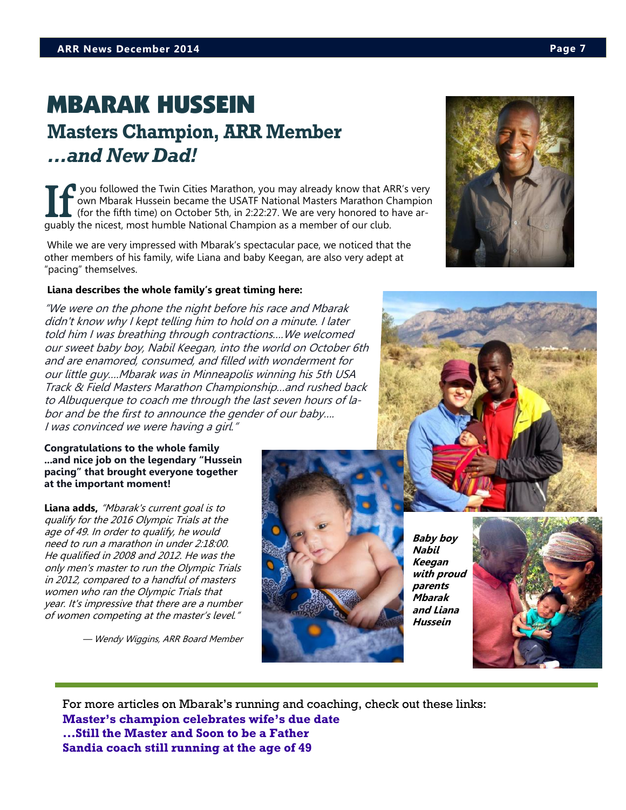### MBARAK HUSSEIN **Masters Champion, ARR Member** *...and New Dad!*

If you followed the Twin Cities Marathon, you may already know that AR own Mbarak Hussein became the USATF National Masters Marathon Cl<br>(for the fifth time) on October 5th, in 2:22:27. We are very honored to ly guably the you followed the Twin Cities Marathon, you may already know that ARR's very own Mbarak Hussein became the USATF National Masters Marathon Champion (for the fifth time) on October 5th, in 2:22:27. We are very honored to have ar-

While we are very impressed with Mbarak's spectacular pace, we noticed that the other members of his family, wife Liana and baby Keegan, are also very adept at "pacing" themselves.

#### **Liana describes the whole family's great timing here:**

"We were on the phone the night before his race and Mbarak didn't know why I kept telling him to hold on a minute. I later told him I was breathing through contractions….We welcomed our sweet baby boy, Nabil Keegan, into the world on October 6th and are enamored, consumed, and filled with wonderment for our little guy….Mbarak was in Minneapolis winning his 5th USA Track & Field Masters Marathon Championship…and rushed back to Albuquerque to coach me through the last seven hours of labor and be the first to announce the gender of our baby…. I was convinced we were having a girl."

#### **Congratulations to the whole family ...and nice job on the legendary "Hussein pacing" that brought everyone together at the important moment!**

Liana adds. "Mbarak's current goal is to qualify for the 2016 Olympic Trials at the age of 49. In order to qualify, he would need to run a marathon in under 2:18:00. He qualified in 2008 and 2012. He was the only men's master to run the Olympic Trials in 2012, compared to a handful of masters women who ran the Olympic Trials that year. It's impressive that there are a number of women competing at the master's level."

— Wendy Wiggins, ARR Board Member

**Baby boy Nabil Keegan with proud parents Mbarak and Liana Hussein**

For more articles on Mbarak's running and coaching, check out these links: **[Master's champion celebrates wife's due date](http://www.startribune.com/sports/278190251.html#jqGzqHHuL4s52UbX.01) [...Still the Master and Soon to be a Father](http://downthebackstretch.blogspot.com/2014/10/mbarak-hussein-proves-hes-still-master.html) [Sandia coach still running at the age of 49](http://www.abqjournal.com/478776/sports/sandia-coach-still-running-at-the-age-of-49.html)**





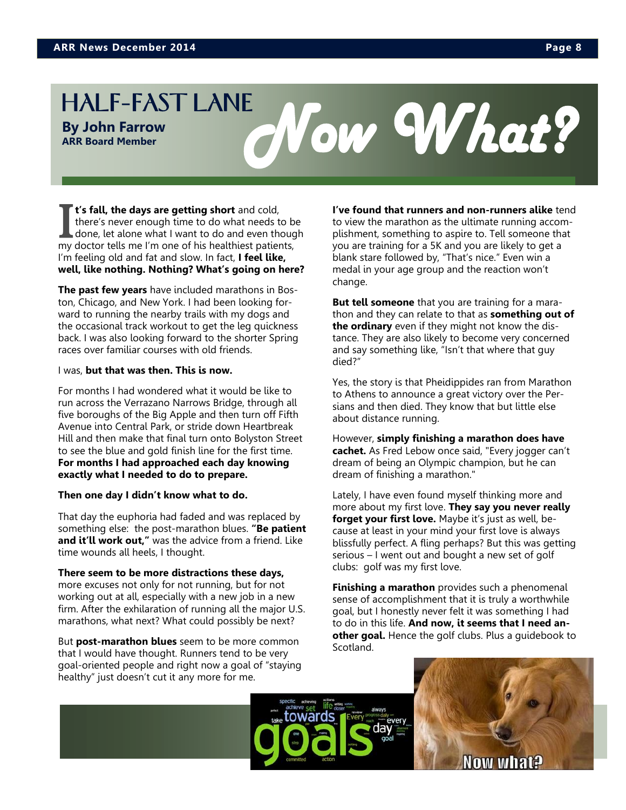**ARR Board Member**

# **By John Farrow**

I t's fall, the days are getting short and cold, there's never enough time to do what needs to be done, let alone what I want to do and even though my doctor tells me I'm one of his healthiest patients, **t's fall, the days are getting short** and cold, there's never enough time to do what needs to be done, let alone what I want to do and even though I'm feeling old and fat and slow. In fact, **I feel like, well, like nothing. Nothing? What's going on here?** 

**The past few years** have included marathons in Boston, Chicago, and New York. I had been looking forward to running the nearby trails with my dogs and the occasional track workout to get the leg quickness back. I was also looking forward to the shorter Spring races over familiar courses with old friends.

#### I was, **but that was then. This is now.**

For months I had wondered what it would be like to run across the Verrazano Narrows Bridge, through all five boroughs of the Big Apple and then turn off Fifth Avenue into Central Park, or stride down Heartbreak Hill and then make that final turn onto Bolyston Street to see the blue and gold finish line for the first time. **For months I had approached each day knowing exactly what I needed to do to prepare.**

#### **Then one day I didn't know what to do.**

That day the euphoria had faded and was replaced by something else: the post-marathon blues. **"Be patient and it'll work out,"** was the advice from a friend. Like time wounds all heels, I thought.

#### **There seem to be more distractions these days,**

more excuses not only for not running, but for not working out at all, especially with a new job in a new firm. After the exhilaration of running all the major U.S. marathons, what next? What could possibly be next?

But **post-marathon blues** seem to be more common that I would have thought. Runners tend to be very goal-oriented people and right now a goal of "staying healthy" just doesn't cut it any more for me.

#### **I've found that runners and non-runners alike** tend to view the marathon as the ultimate running accomplishment, something to aspire to. Tell someone that you are training for a 5K and you are likely to get a blank stare followed by, "That's nice." Even win a medal in your age group and the reaction won't change.

**But tell someone** that you are training for a marathon and they can relate to that as **something out of the ordinary** even if they might not know the distance. They are also likely to become very concerned and say something like, "Isn't that where that guy died?"

Yes, the story is that Pheidippides ran from Marathon to Athens to announce a great victory over the Persians and then died. They know that but little else about distance running.

However, **simply finishing a marathon does have cachet.** As Fred Lebow once said, "Every jogger can't dream of being an Olympic champion, but he can dream of finishing a marathon."

Lately, I have even found myself thinking more and more about my first love. **They say you never really forget your first love.** Maybe it's just as well, because at least in your mind your first love is always blissfully perfect. A fling perhaps? But this was getting serious – I went out and bought a new set of golf clubs: golf was my first love.

**Finishing a marathon** provides such a phenomenal sense of accomplishment that it is truly a worthwhile goal, but I honestly never felt it was something I had to do in this life. **And now, it seems that I need another goal.** Hence the golf clubs. Plus a guidebook to Scotland.